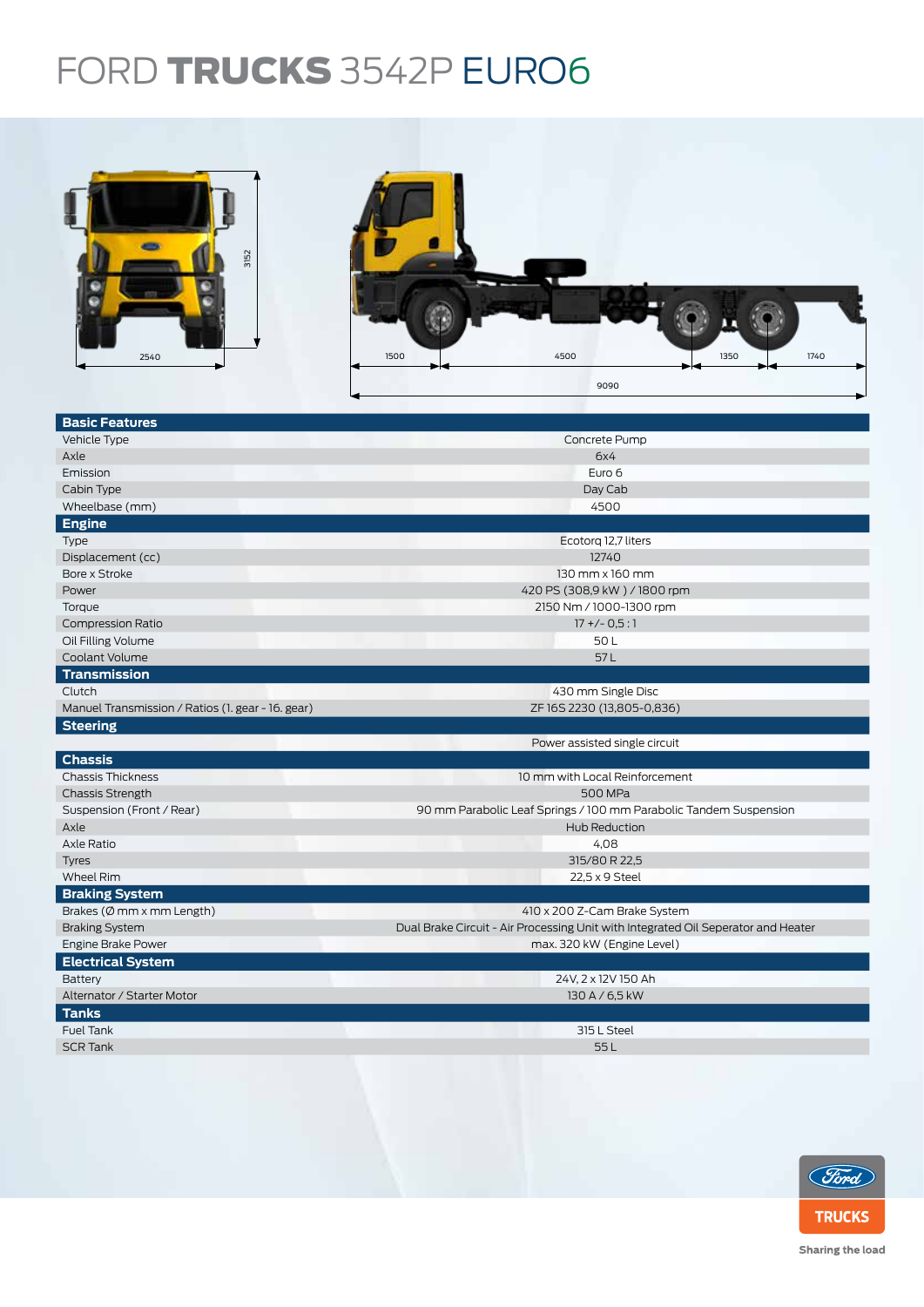## FORD TRUCKS 3542P EURO6



| Emission                                          | Euro 6                                                                            |  |  |  |
|---------------------------------------------------|-----------------------------------------------------------------------------------|--|--|--|
| Cabin Type                                        | Day Cab                                                                           |  |  |  |
| Wheelbase (mm)                                    | 4500                                                                              |  |  |  |
| <b>Engine</b>                                     |                                                                                   |  |  |  |
| Type                                              | Ecotorg 12,7 liters                                                               |  |  |  |
| Displacement (cc)                                 | 12740                                                                             |  |  |  |
| Bore x Stroke                                     | 130 mm x 160 mm                                                                   |  |  |  |
| Power                                             | 420 PS (308,9 kW) / 1800 rpm                                                      |  |  |  |
| Torque                                            | 2150 Nm / 1000-1300 rpm                                                           |  |  |  |
| <b>Compression Ratio</b>                          | $17 + (-0.5:1)$                                                                   |  |  |  |
| Oil Filling Volume                                | 50L                                                                               |  |  |  |
| Coolant Volume                                    | 57L                                                                               |  |  |  |
| <b>Transmission</b>                               |                                                                                   |  |  |  |
| Clutch                                            | 430 mm Single Disc                                                                |  |  |  |
| Manuel Transmission / Ratios (1. gear - 16. gear) | ZF16S2230 (13,805-0,836)                                                          |  |  |  |
| <b>Steering</b>                                   |                                                                                   |  |  |  |
|                                                   | Power assisted single circuit                                                     |  |  |  |
| <b>Chassis</b>                                    |                                                                                   |  |  |  |
| <b>Chassis Thickness</b>                          | 10 mm with Local Reinforcement                                                    |  |  |  |
| <b>Chassis Strength</b>                           | <b>500 MPa</b>                                                                    |  |  |  |
| Suspension (Front / Rear)                         | 90 mm Parabolic Leaf Springs / 100 mm Parabolic Tandem Suspension                 |  |  |  |
| Axle                                              | Hub Reduction                                                                     |  |  |  |
| Axle Ratio                                        | 4,08                                                                              |  |  |  |
| <b>Tyres</b>                                      | 315/80 R 22,5                                                                     |  |  |  |
| <b>Wheel Rim</b>                                  | 22,5 x 9 Steel                                                                    |  |  |  |
| <b>Braking System</b>                             |                                                                                   |  |  |  |
| Brakes ( $\emptyset$ mm x mm Length)              | 410 x 200 Z-Cam Brake System                                                      |  |  |  |
| <b>Braking System</b>                             | Dual Brake Circuit - Air Processing Unit with Integrated Oil Seperator and Heater |  |  |  |
| Engine Brake Power                                | max. 320 kW (Engine Level)                                                        |  |  |  |
| <b>Electrical System</b>                          |                                                                                   |  |  |  |
| Battery                                           | 24V, 2 x 12V 150 Ah                                                               |  |  |  |
| Alternator / Starter Motor                        | 130 A / 6,5 kW                                                                    |  |  |  |
| <b>Tanks</b>                                      |                                                                                   |  |  |  |
| <b>Fuel Tank</b>                                  | 315 L Steel                                                                       |  |  |  |
| <b>SCR Tank</b>                                   | 55L                                                                               |  |  |  |
|                                                   |                                                                                   |  |  |  |



Sharing the load